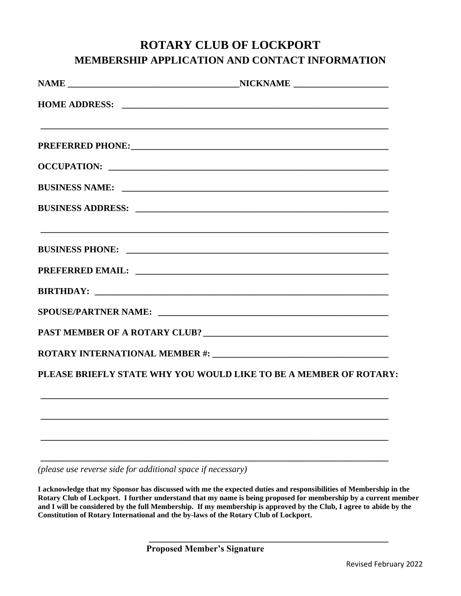## **ROTARY CLUB OF LOCKPORT MEMBERSHIP APPLICATION AND CONTACT INFORMATION**

| PREFERRED PHONE: NAMEL AND THE RESERVED PHONE OF THE RESERVED PHONE OF THE RESERVED OF THE RESERVED OF THE RESERVED OF THE RESERVED OF THE RESERVED OF THE RESERVED OF THE RESERVED OF THE RESERVED OF THE RESERVED OF THE RES |
|--------------------------------------------------------------------------------------------------------------------------------------------------------------------------------------------------------------------------------|
|                                                                                                                                                                                                                                |
|                                                                                                                                                                                                                                |
|                                                                                                                                                                                                                                |
|                                                                                                                                                                                                                                |
|                                                                                                                                                                                                                                |
|                                                                                                                                                                                                                                |
|                                                                                                                                                                                                                                |
|                                                                                                                                                                                                                                |
|                                                                                                                                                                                                                                |
| PLEASE BRIEFLY STATE WHY YOU WOULD LIKE TO BE A MEMBER OF ROTARY:                                                                                                                                                              |
|                                                                                                                                                                                                                                |
|                                                                                                                                                                                                                                |
|                                                                                                                                                                                                                                |

*(please use reverse side for additional space if necessary)*

**I acknowledge that my Sponsor has discussed with me the expected duties and responsibilities of Membership in the Rotary Club of Lockport. I further understand that my name is being proposed for membership by a current member and I will be considered by the full Membership. If my membership is approved by the Club, I agree to abide by the Constitution of Rotary International and the by-laws of the Rotary Club of Lockport.**

**\_\_\_\_\_\_\_\_\_\_\_\_\_\_\_\_\_\_\_\_\_\_\_\_\_\_\_\_\_\_\_\_\_\_\_\_\_\_\_\_\_\_\_\_\_\_\_\_\_\_\_\_\_**

**\_\_\_\_\_\_\_\_\_\_\_\_\_\_\_\_\_\_\_\_\_\_\_\_\_\_\_\_\_\_\_\_\_\_\_\_\_\_\_\_\_\_\_\_\_\_\_\_\_\_\_\_\_\_\_\_\_\_\_\_\_\_\_\_\_\_\_\_\_\_\_\_\_\_\_\_\_**